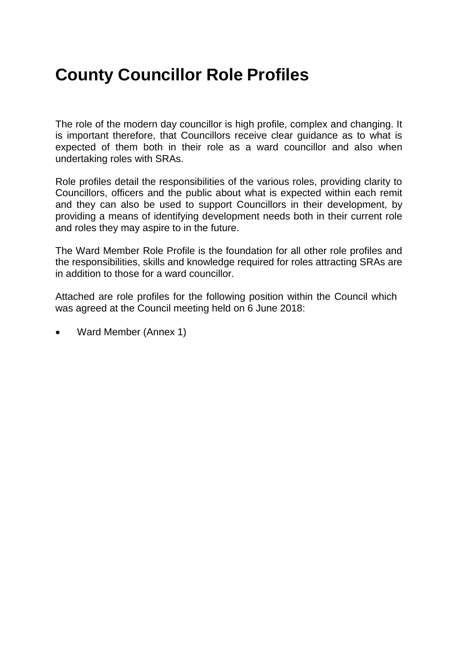# **County Councillor Role Profiles**

The role of the modern day councillor is high profile, complex and changing. It is important therefore, that Councillors receive clear guidance as to what is expected of them both in their role as a ward councillor and also when undertaking roles with SRAs.

Role profiles detail the responsibilities of the various roles, providing clarity to Councillors, officers and the public about what is expected within each remit and they can also be used to support Councillors in their development, by providing a means of identifying development needs both in their current role and roles they may aspire to in the future.

The Ward Member Role Profile is the foundation for all other role profiles and the responsibilities, skills and knowledge required for roles attracting SRAs are in addition to those for a ward councillor.

Attached are role profiles for the following position within the Council which was agreed at the Council meeting held on 6 June 2018:

Ward Member (Annex 1)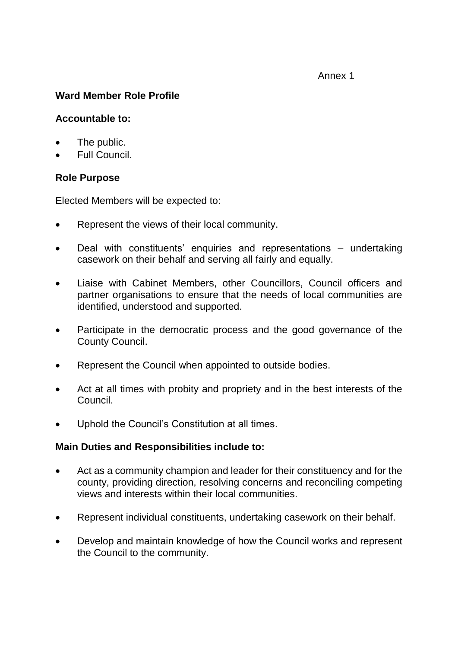#### Annex 1

## **Ward Member Role Profile**

#### **Accountable to:**

- The public.
- Full Council.

### **Role Purpose**

Elected Members will be expected to:

- Represent the views of their local community.
- Deal with constituents' enquiries and representations undertaking casework on their behalf and serving all fairly and equally.
- Liaise with Cabinet Members, other Councillors, Council officers and partner organisations to ensure that the needs of local communities are identified, understood and supported.
- Participate in the democratic process and the good governance of the County Council.
- Represent the Council when appointed to outside bodies.
- Act at all times with probity and propriety and in the best interests of the Council.
- Uphold the Council's Constitution at all times.

#### **Main Duties and Responsibilities include to:**

- Act as a community champion and leader for their constituency and for the county, providing direction, resolving concerns and reconciling competing views and interests within their local communities.
- Represent individual constituents, undertaking casework on their behalf.
- Develop and maintain knowledge of how the Council works and represent the Council to the community.